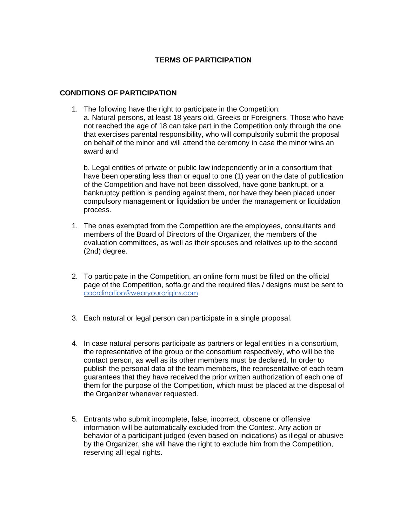# **TERMS OF PARTICIPATION**

## **CONDITIONS OF PARTICIPATION**

1. The following have the right to participate in the Competition: a. Natural persons, at least 18 years old, Greeks or Foreigners. Those who have not reached the age of 18 can take part in the Competition only through the one that exercises parental responsibility, who will compulsorily submit the proposal on behalf of the minor and will attend the ceremony in case the minor wins an award and

b. Legal entities of private or public law independently or in a consortium that have been operating less than or equal to one (1) year on the date of publication of the Competition and have not been dissolved, have gone bankrupt, or a bankruptcy petition is pending against them, nor have they been placed under compulsory management or liquidation be under the management or liquidation process.

- 1. The ones exempted from the Competition are the employees, consultants and members of the Board of Directors of the Organizer, the members of the evaluation committees, as well as their spouses and relatives up to the second (2nd) degree.
- 2. To participate in the Competition, an online form must be filled on the official page of the Competition, soffa.gr and the required files / designs must be sent to [coordination@wearyourorigins.com](mailto:coordination@wearyourorigins.com)
- 3. Each natural or legal person can participate in a single proposal.
- 4. In case natural persons participate as partners or legal entities in a consortium, the representative of the group or the consortium respectively, who will be the contact person, as well as its other members must be declared. In order to publish the personal data of the team members, the representative of each team guarantees that they have received the prior written authorization of each one of them for the purpose of the Competition, which must be placed at the disposal of the Organizer whenever requested.
- 5. Entrants who submit incomplete, false, incorrect, obscene or offensive information will be automatically excluded from the Contest. Any action or behavior of a participant judged (even based on indications) as illegal or abusive by the Organizer, she will have the right to exclude him from the Competition, reserving all legal rights.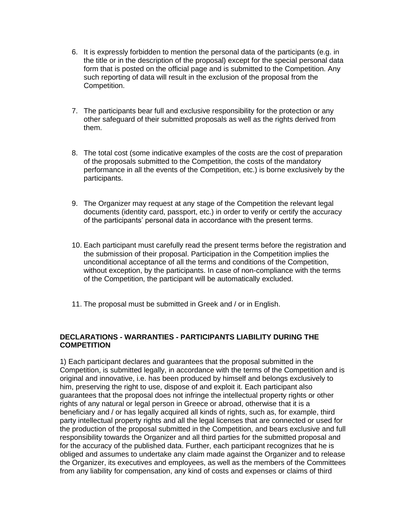- 6. It is expressly forbidden to mention the personal data of the participants (e.g. in the title or in the description of the proposal) except for the special personal data form that is posted on the official page and is submitted to the Competition. Any such reporting of data will result in the exclusion of the proposal from the Competition.
- 7. The participants bear full and exclusive responsibility for the protection or any other safeguard of their submitted proposals as well as the rights derived from them.
- 8. The total cost (some indicative examples of the costs are the cost of preparation of the proposals submitted to the Competition, the costs of the mandatory performance in all the events of the Competition, etc.) is borne exclusively by the participants.
- 9. The Organizer may request at any stage of the Competition the relevant legal documents (identity card, passport, etc.) in order to verify or certify the accuracy of the participants' personal data in accordance with the present terms.
- 10. Each participant must carefully read the present terms before the registration and the submission of their proposal. Participation in the Competition implies the unconditional acceptance of all the terms and conditions of the Competition, without exception, by the participants. In case of non-compliance with the terms of the Competition, the participant will be automatically excluded.
- 11. The proposal must be submitted in Greek and / or in English.

# **DECLARATIONS - WARRANTIES - PARTICIPANTS LIABILITY DURING THE COMPETITION**

1) Each participant declares and guarantees that the proposal submitted in the Competition, is submitted legally, in accordance with the terms of the Competition and is original and innovative, i.e. has been produced by himself and belongs exclusively to him, preserving the right to use, dispose of and exploit it. Each participant also guarantees that the proposal does not infringe the intellectual property rights or other rights of any natural or legal person in Greece or abroad, otherwise that it is a beneficiary and / or has legally acquired all kinds of rights, such as, for example, third party intellectual property rights and all the legal licenses that are connected or used for the production of the proposal submitted in the Competition, and bears exclusive and full responsibility towards the Organizer and all third parties for the submitted proposal and for the accuracy of the published data. Further, each participant recognizes that he is obliged and assumes to undertake any claim made against the Organizer and to release the Organizer, its executives and employees, as well as the members of the Committees from any liability for compensation, any kind of costs and expenses or claims of third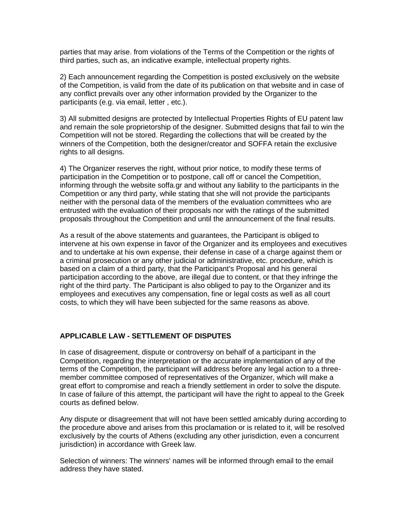parties that may arise. from violations of the Terms of the Competition or the rights of third parties, such as, an indicative example, intellectual property rights.

2) Each announcement regarding the Competition is posted exclusively on the website of the Competition, is valid from the date of its publication on that website and in case of any conflict prevails over any other information provided by the Organizer to the participants (e.g. via email, letter , etc.).

3) All submitted designs are protected by Intellectual Properties Rights of EU patent law and remain the sole proprietorship of the designer. Submitted designs that fail to win the Competition will not be stored. Regarding the collections that will be created by the winners of the Competition, both the designer/creator and SOFFA retain the exclusive rights to all designs.

4) The Organizer reserves the right, without prior notice, to modify these terms of participation in the Competition or to postpone, call off or cancel the Competition, informing through the website soffa.gr and without any liability to the participants in the Competition or any third party, while stating that she will not provide the participants neither with the personal data of the members of the evaluation committees who are entrusted with the evaluation of their proposals nor with the ratings of the submitted proposals throughout the Competition and until the announcement of the final results.

As a result of the above statements and guarantees, the Participant is obliged to intervene at his own expense in favor of the Organizer and its employees and executives and to undertake at his own expense, their defense in case of a charge against them or a criminal prosecution or any other judicial or administrative, etc. procedure, which is based on a claim of a third party, that the Participant's Proposal and his general participation according to the above, are illegal due to content, or that they infringe the right of the third party. The Participant is also obliged to pay to the Organizer and its employees and executives any compensation, fine or legal costs as well as all court costs, to which they will have been subjected for the same reasons as above.

#### **APPLICABLE LAW - SETTLEMENT OF DISPUTES**

In case of disagreement, dispute or controversy on behalf of a participant in the Competition, regarding the interpretation or the accurate implementation of any of the terms of the Competition, the participant will address before any legal action to a threemember committee composed of representatives of the Organizer, which will make a great effort to compromise and reach a friendly settlement in order to solve the dispute. In case of failure of this attempt, the participant will have the right to appeal to the Greek courts as defined below.

Any dispute or disagreement that will not have been settled amicably during according to the procedure above and arises from this proclamation or is related to it, will be resolved exclusively by the courts of Athens (excluding any other jurisdiction, even a concurrent jurisdiction) in accordance with Greek law.

Selection of winners: The winners' names will be informed through email to the email address they have stated.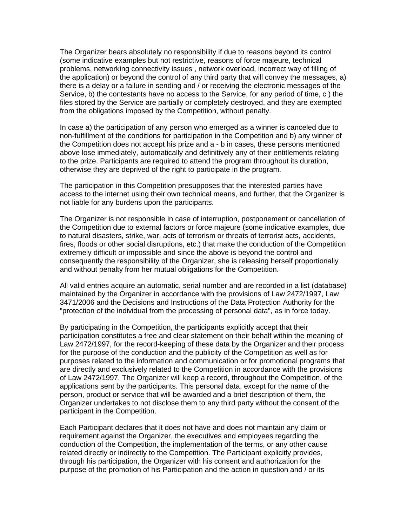The Organizer bears absolutely no responsibility if due to reasons beyond its control (some indicative examples but not restrictive, reasons of force majeure, technical problems, networking connectivity issues , network overload, incorrect way of filling of the application) or beyond the control of any third party that will convey the messages, a) there is a delay or a failure in sending and / or receiving the electronic messages of the Service, b) the contestants have no access to the Service, for any period of time, c ) the files stored by the Service are partially or completely destroyed, and they are exempted from the obligations imposed by the Competition, without penalty.

In case a) the participation of any person who emerged as a winner is canceled due to non-fulfillment of the conditions for participation in the Competition and b) any winner of the Competition does not accept his prize and a - b in cases, these persons mentioned above lose immediately, automatically and definitively any of their entitlements relating to the prize. Participants are required to attend the program throughout its duration, otherwise they are deprived of the right to participate in the program.

The participation in this Competition presupposes that the interested parties have access to the internet using their own technical means, and further, that the Organizer is not liable for any burdens upon the participants.

The Organizer is not responsible in case of interruption, postponement or cancellation of the Competition due to external factors or force majeure (some indicative examples, due to natural disasters, strike, war, acts of terrorism or threats of terrorist acts, accidents, fires, floods or other social disruptions, etc.) that make the conduction of the Competition extremely difficult or impossible and since the above is beyond the control and consequently the responsibility of the Organizer, she is releasing herself proportionally and without penalty from her mutual obligations for the Competition.

All valid entries acquire an automatic, serial number and are recorded in a list (database) maintained by the Organizer in accordance with the provisions of Law 2472/1997, Law 3471/2006 and the Decisions and Instructions of the Data Protection Authority for the "protection of the individual from the processing of personal data", as in force today.

By participating in the Competition, the participants explicitly accept that their participation constitutes a free and clear statement on their behalf within the meaning of Law 2472/1997, for the record-keeping of these data by the Organizer and their process for the purpose of the conduction and the publicity of the Competition as well as for purposes related to the information and communication or for promotional programs that are directly and exclusively related to the Competition in accordance with the provisions of Law 2472/1997. The Organizer will keep a record, throughout the Competition, of the applications sent by the participants. This personal data, except for the name of the person, product or service that will be awarded and a brief description of them, the Organizer undertakes to not disclose them to any third party without the consent of the participant in the Competition.

Each Participant declares that it does not have and does not maintain any claim or requirement against the Organizer, the executives and employees regarding the conduction of the Competition, the implementation of the terms, or any other cause related directly or indirectly to the Competition. The Participant explicitly provides, through his participation, the Organizer with his consent and authorization for the purpose of the promotion of his Participation and the action in question and / or its